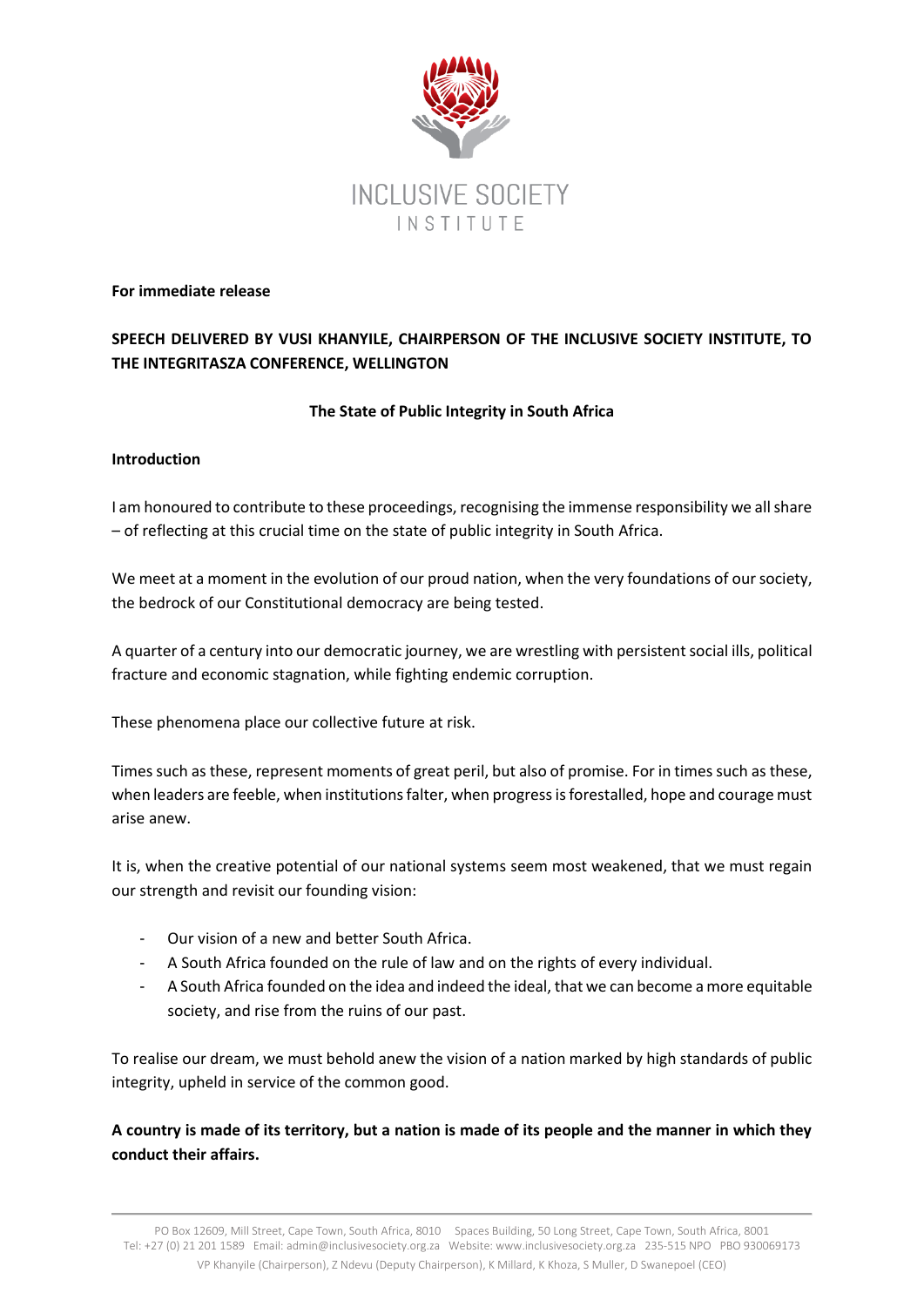

#### **For immediate release**

# **SPEECH DELIVERED BY VUSI KHANYILE, CHAIRPERSON OF THE INCLUSIVE SOCIETY INSTITUTE, TO THE INTEGRITASZA CONFERENCE, WELLINGTON**

# **The State of Public Integrity in South Africa**

# **Introduction**

I am honoured to contribute to these proceedings, recognising the immense responsibility we all share – of reflecting at this crucial time on the state of public integrity in South Africa.

We meet at a moment in the evolution of our proud nation, when the very foundations of our society, the bedrock of our Constitutional democracy are being tested.

A quarter of a century into our democratic journey, we are wrestling with persistent social ills, political fracture and economic stagnation, while fighting endemic corruption.

These phenomena place our collective future at risk.

Times such as these, represent moments of great peril, but also of promise. For in times such as these, when leaders are feeble, when institutions falter, when progress is forestalled, hope and courage must arise anew.

It is, when the creative potential of our national systems seem most weakened, that we must regain our strength and revisit our founding vision:

- Our vision of a new and better South Africa.
- A South Africa founded on the rule of law and on the rights of every individual.
- A South Africa founded on the idea and indeed the ideal, that we can become a more equitable society, and rise from the ruins of our past.

To realise our dream, we must behold anew the vision of a nation marked by high standards of public integrity, upheld in service of the common good.

**A country is made of its territory, but a nation is made of its people and the manner in which they conduct their affairs.**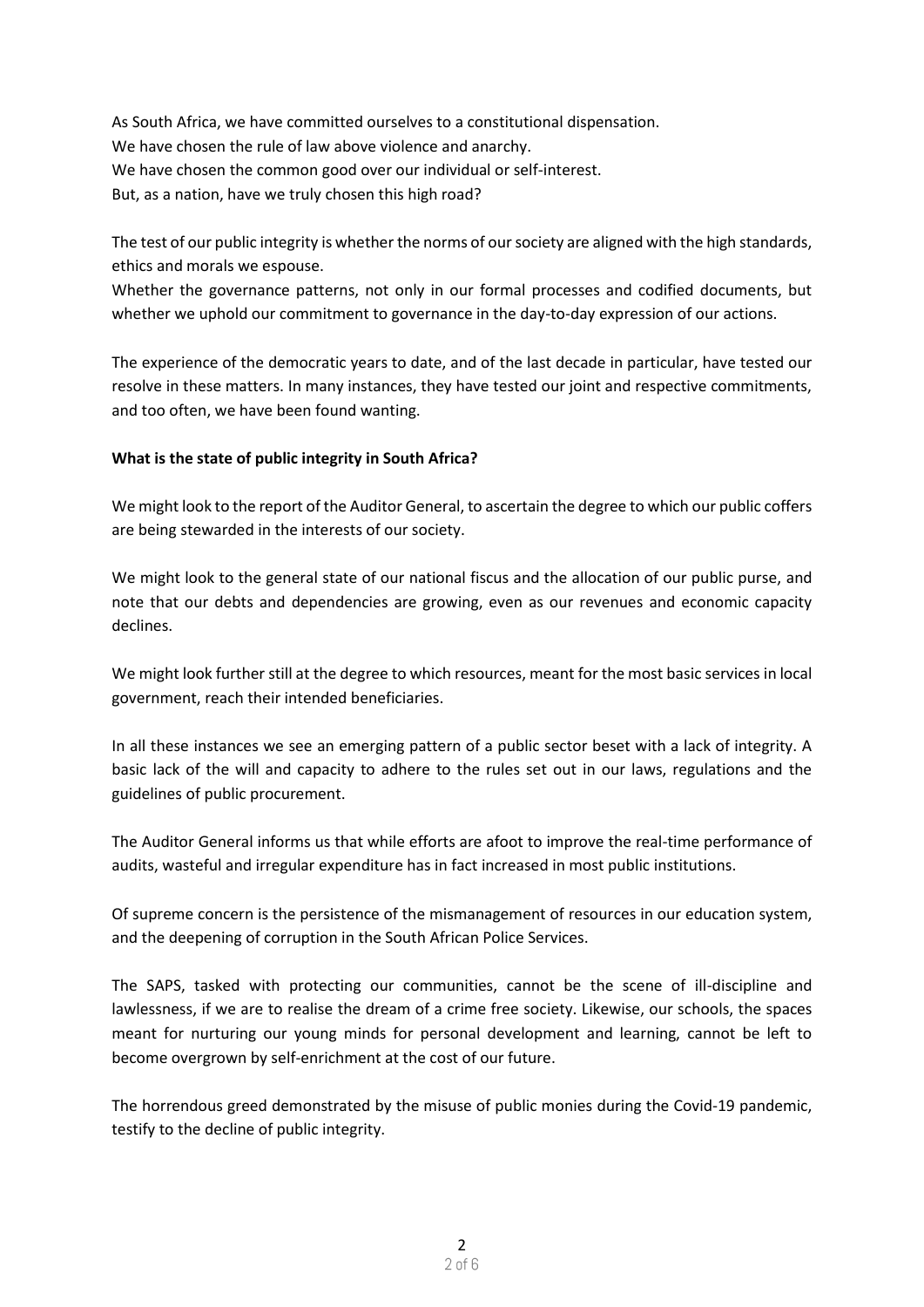As South Africa, we have committed ourselves to a constitutional dispensation. We have chosen the rule of law above violence and anarchy. We have chosen the common good over our individual or self-interest. But, as a nation, have we truly chosen this high road?

The test of our public integrity is whether the norms of our society are aligned with the high standards, ethics and morals we espouse.

Whether the governance patterns, not only in our formal processes and codified documents, but whether we uphold our commitment to governance in the day-to-day expression of our actions.

The experience of the democratic years to date, and of the last decade in particular, have tested our resolve in these matters. In many instances, they have tested our joint and respective commitments, and too often, we have been found wanting.

#### **What is the state of public integrity in South Africa?**

We might look to the report of the Auditor General, to ascertain the degree to which our public coffers are being stewarded in the interests of our society.

We might look to the general state of our national fiscus and the allocation of our public purse, and note that our debts and dependencies are growing, even as our revenues and economic capacity declines.

We might look further still at the degree to which resources, meant for the most basic services in local government, reach their intended beneficiaries.

In all these instances we see an emerging pattern of a public sector beset with a lack of integrity. A basic lack of the will and capacity to adhere to the rules set out in our laws, regulations and the guidelines of public procurement.

The Auditor General informs us that while efforts are afoot to improve the real-time performance of audits, wasteful and irregular expenditure has in fact increased in most public institutions.

Of supreme concern is the persistence of the mismanagement of resources in our education system, and the deepening of corruption in the South African Police Services.

The SAPS, tasked with protecting our communities, cannot be the scene of ill-discipline and lawlessness, if we are to realise the dream of a crime free society. Likewise, our schools, the spaces meant for nurturing our young minds for personal development and learning, cannot be left to become overgrown by self-enrichment at the cost of our future.

The horrendous greed demonstrated by the misuse of public monies during the Covid-19 pandemic, testify to the decline of public integrity.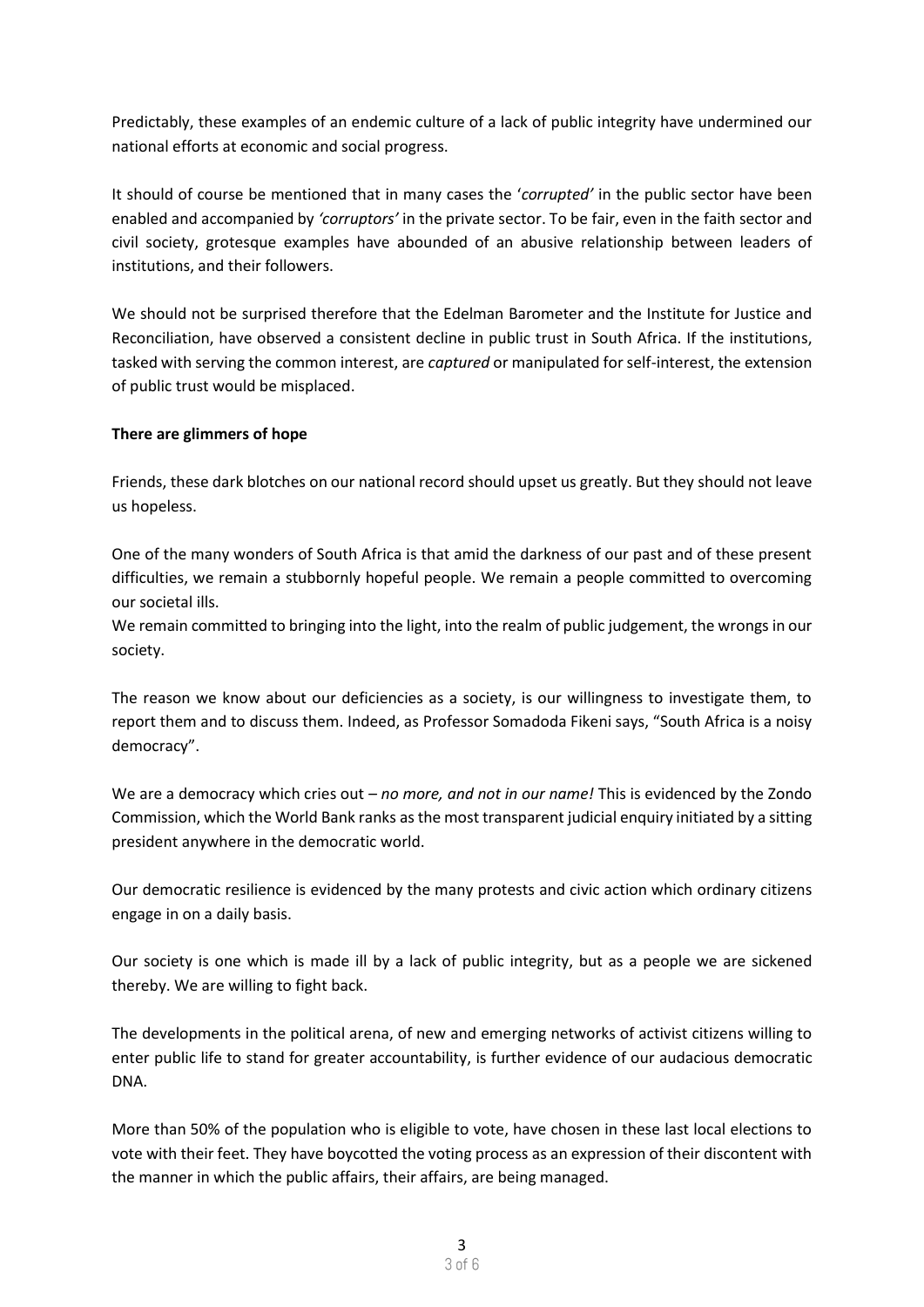Predictably, these examples of an endemic culture of a lack of public integrity have undermined our national efforts at economic and social progress.

It should of course be mentioned that in many cases the '*corrupted'* in the public sector have been enabled and accompanied by *'corruptors'* in the private sector. To be fair, even in the faith sector and civil society, grotesque examples have abounded of an abusive relationship between leaders of institutions, and their followers.

We should not be surprised therefore that the Edelman Barometer and the Institute for Justice and Reconciliation, have observed a consistent decline in public trust in South Africa. If the institutions, tasked with serving the common interest, are *captured* or manipulated for self-interest, the extension of public trust would be misplaced.

# **There are glimmers of hope**

Friends, these dark blotches on our national record should upset us greatly. But they should not leave us hopeless.

One of the many wonders of South Africa is that amid the darkness of our past and of these present difficulties, we remain a stubbornly hopeful people. We remain a people committed to overcoming our societal ills.

We remain committed to bringing into the light, into the realm of public judgement, the wrongs in our society.

The reason we know about our deficiencies as a society, is our willingness to investigate them, to report them and to discuss them. Indeed, as Professor Somadoda Fikeni says, "South Africa is a noisy democracy".

We are a democracy which cries out *– no more, and not in our name!* This is evidenced by the Zondo Commission, which the World Bank ranks as the most transparent judicial enquiry initiated by a sitting president anywhere in the democratic world.

Our democratic resilience is evidenced by the many protests and civic action which ordinary citizens engage in on a daily basis.

Our society is one which is made ill by a lack of public integrity, but as a people we are sickened thereby. We are willing to fight back.

The developments in the political arena, of new and emerging networks of activist citizens willing to enter public life to stand for greater accountability, is further evidence of our audacious democratic DNA.

More than 50% of the population who is eligible to vote, have chosen in these last local elections to vote with their feet. They have boycotted the voting process as an expression of their discontent with the manner in which the public affairs, their affairs, are being managed.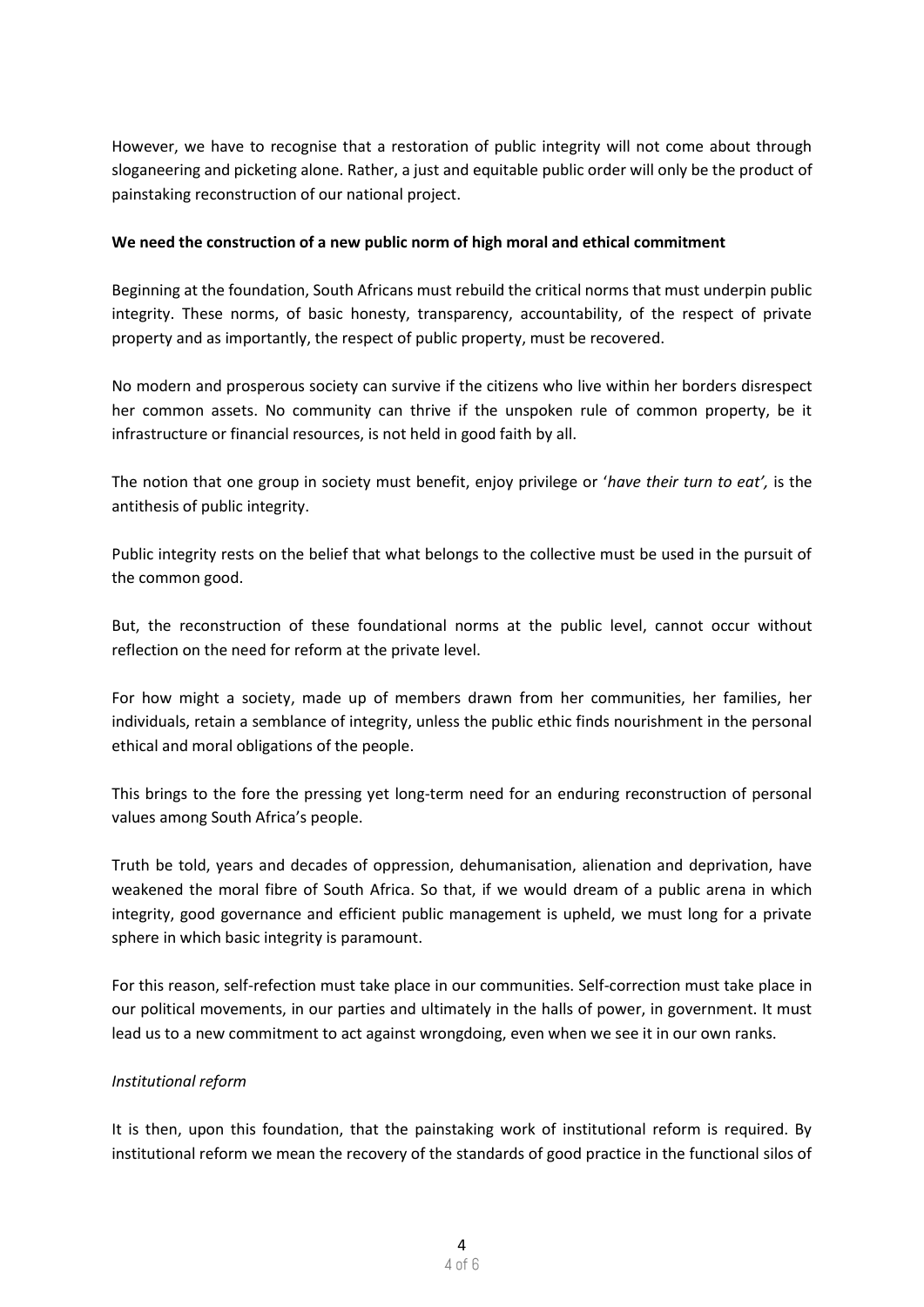However, we have to recognise that a restoration of public integrity will not come about through sloganeering and picketing alone. Rather, a just and equitable public order will only be the product of painstaking reconstruction of our national project.

#### **We need the construction of a new public norm of high moral and ethical commitment**

Beginning at the foundation, South Africans must rebuild the critical norms that must underpin public integrity. These norms, of basic honesty, transparency, accountability, of the respect of private property and as importantly, the respect of public property, must be recovered.

No modern and prosperous society can survive if the citizens who live within her borders disrespect her common assets. No community can thrive if the unspoken rule of common property, be it infrastructure or financial resources, is not held in good faith by all.

The notion that one group in society must benefit, enjoy privilege or '*have their turn to eat',* is the antithesis of public integrity.

Public integrity rests on the belief that what belongs to the collective must be used in the pursuit of the common good.

But, the reconstruction of these foundational norms at the public level, cannot occur without reflection on the need for reform at the private level.

For how might a society, made up of members drawn from her communities, her families, her individuals, retain a semblance of integrity, unless the public ethic finds nourishment in the personal ethical and moral obligations of the people.

This brings to the fore the pressing yet long-term need for an enduring reconstruction of personal values among South Africa's people.

Truth be told, years and decades of oppression, dehumanisation, alienation and deprivation, have weakened the moral fibre of South Africa. So that, if we would dream of a public arena in which integrity, good governance and efficient public management is upheld, we must long for a private sphere in which basic integrity is paramount.

For this reason, self-refection must take place in our communities. Self-correction must take place in our political movements, in our parties and ultimately in the halls of power, in government. It must lead us to a new commitment to act against wrongdoing, even when we see it in our own ranks.

# *Institutional reform*

It is then, upon this foundation, that the painstaking work of institutional reform is required. By institutional reform we mean the recovery of the standards of good practice in the functional silos of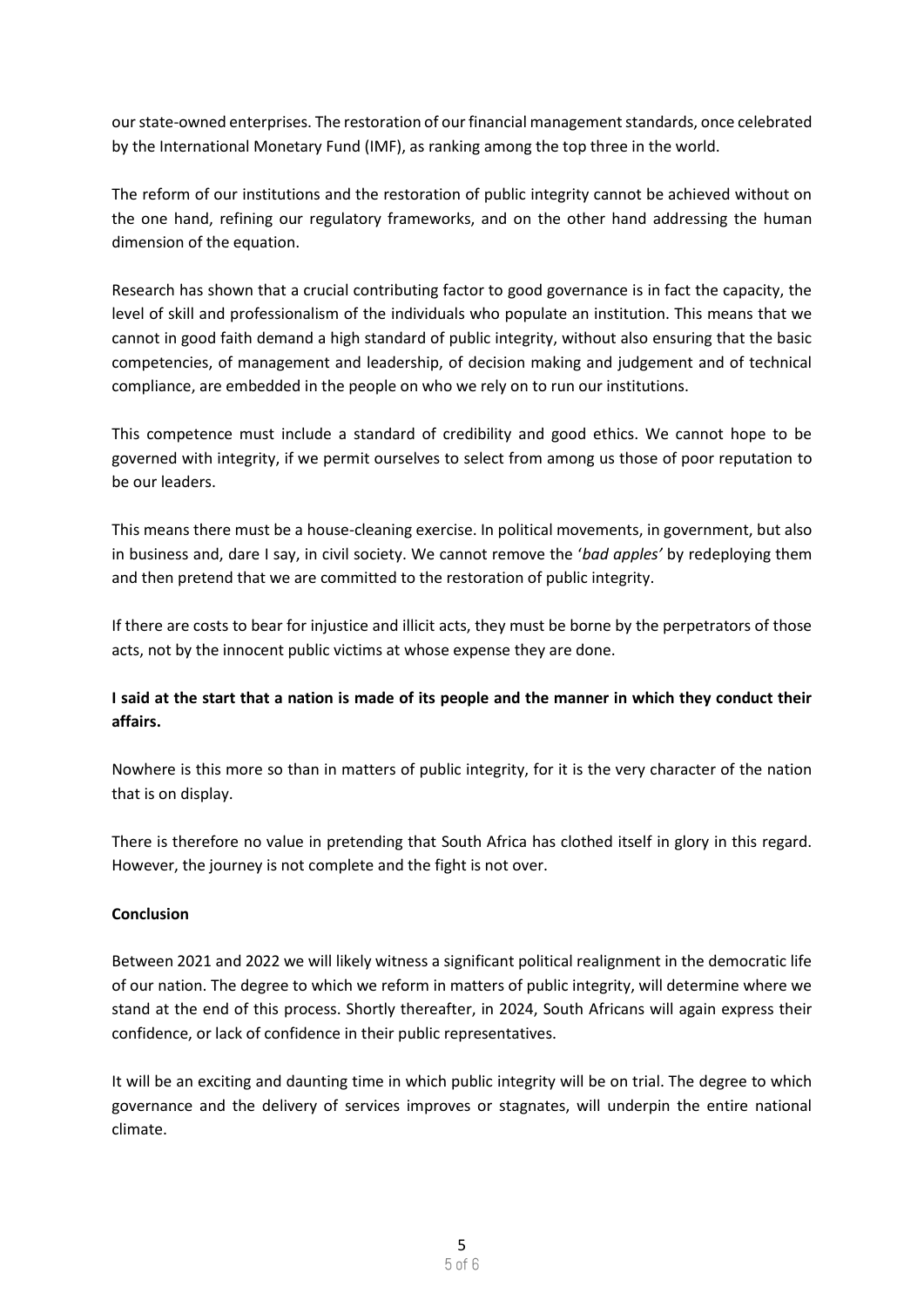our state-owned enterprises. The restoration of our financial management standards, once celebrated by the International Monetary Fund (IMF), as ranking among the top three in the world.

The reform of our institutions and the restoration of public integrity cannot be achieved without on the one hand, refining our regulatory frameworks, and on the other hand addressing the human dimension of the equation.

Research has shown that a crucial contributing factor to good governance is in fact the capacity, the level of skill and professionalism of the individuals who populate an institution. This means that we cannot in good faith demand a high standard of public integrity, without also ensuring that the basic competencies, of management and leadership, of decision making and judgement and of technical compliance, are embedded in the people on who we rely on to run our institutions.

This competence must include a standard of credibility and good ethics. We cannot hope to be governed with integrity, if we permit ourselves to select from among us those of poor reputation to be our leaders.

This means there must be a house-cleaning exercise. In political movements, in government, but also in business and, dare I say, in civil society. We cannot remove the '*bad apples'* by redeploying them and then pretend that we are committed to the restoration of public integrity.

If there are costs to bear for injustice and illicit acts, they must be borne by the perpetrators of those acts, not by the innocent public victims at whose expense they are done.

# **I said at the start that a nation is made of its people and the manner in which they conduct their affairs.**

Nowhere is this more so than in matters of public integrity, for it is the very character of the nation that is on display.

There is therefore no value in pretending that South Africa has clothed itself in glory in this regard. However, the journey is not complete and the fight is not over.

# **Conclusion**

Between 2021 and 2022 we will likely witness a significant political realignment in the democratic life of our nation. The degree to which we reform in matters of public integrity, will determine where we stand at the end of this process. Shortly thereafter, in 2024, South Africans will again express their confidence, or lack of confidence in their public representatives.

It will be an exciting and daunting time in which public integrity will be on trial. The degree to which governance and the delivery of services improves or stagnates, will underpin the entire national climate.